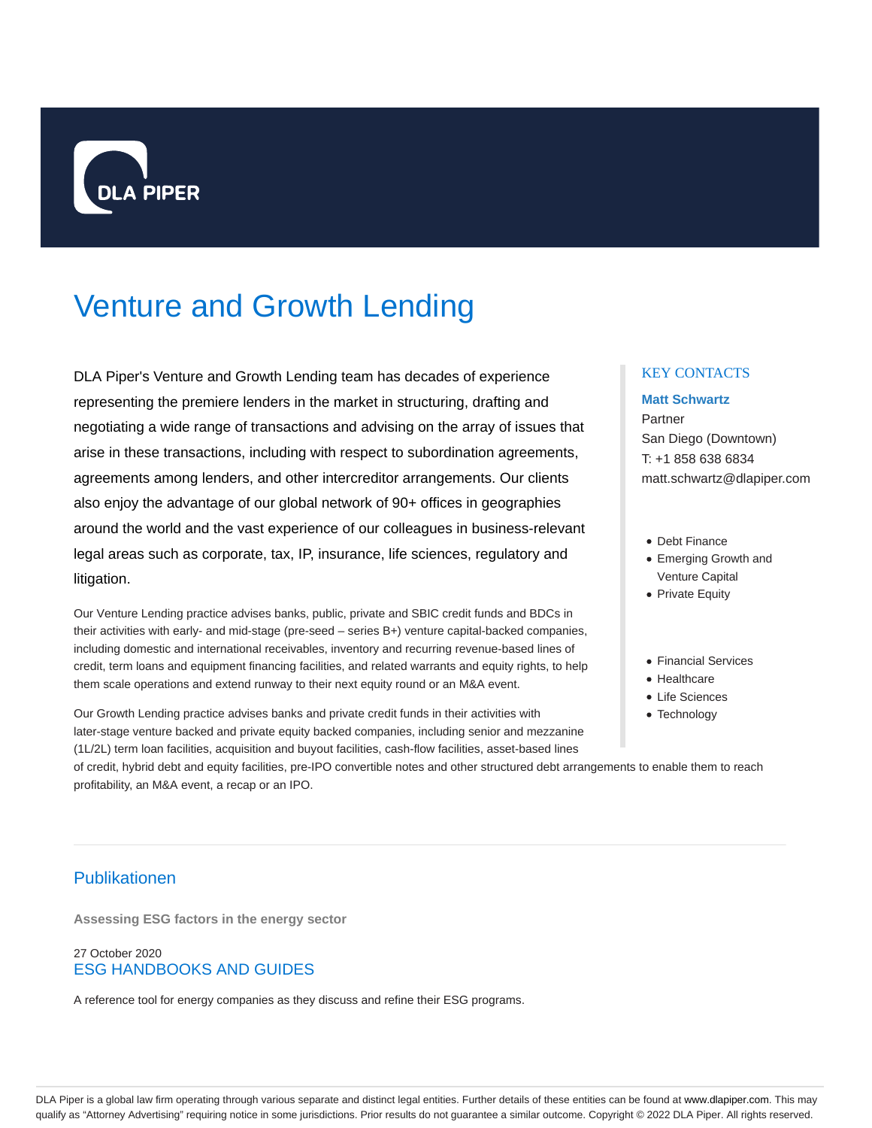

# Venture and Growth Lending

DLA Piper's Venture and Growth Lending team has decades of experience representing the premiere lenders in the market in structuring, drafting and negotiating a wide range of transactions and advising on the array of issues that arise in these transactions, including with respect to subordination agreements, agreements among lenders, and other intercreditor arrangements. Our clients also enjoy the advantage of our global network of 90+ offices in geographies around the world and the vast experience of our colleagues in business-relevant legal areas such as corporate, tax, IP, insurance, life sciences, regulatory and litigation.

Our Venture Lending practice advises banks, public, private and SBIC credit funds and BDCs in their activities with early- and mid-stage (pre-seed – series B+) venture capital-backed companies, including domestic and international receivables, inventory and recurring revenue-based lines of credit, term loans and equipment financing facilities, and related warrants and equity rights, to help them scale operations and extend runway to their next equity round or an M&A event.

Our Growth Lending practice advises banks and private credit funds in their activities with later-stage venture backed and private equity backed companies, including senior and mezzanine (1L/2L) term loan facilities, acquisition and buyout facilities, cash-flow facilities, asset-based lines

## KEY CONTACTS

## **Matt Schwartz**

Partner San Diego (Downtown) T: +1 858 638 6834 matt.schwartz@dlapiper.com

- Debt Finance
- Emerging Growth and Venture Capital
- Private Equity
- Financial Services
- Healthcare
- Life Sciences
- Technology

of credit, hybrid debt and equity facilities, pre-IPO convertible notes and other structured debt arrangements to enable them to reach profitability, an M&A event, a recap or an IPO.

# Publikationen

**Assessing ESG factors in the energy sector**

# 27 October 2020 ESG HANDBOOKS AND GUIDES

A reference tool for energy companies as they discuss and refine their ESG programs.

DLA Piper is a global law firm operating through various separate and distinct legal entities. Further details of these entities can be found at www.dlapiper.com. This may qualify as "Attorney Advertising" requiring notice in some jurisdictions. Prior results do not guarantee a similar outcome. Copyright © 2022 DLA Piper. All rights reserved.